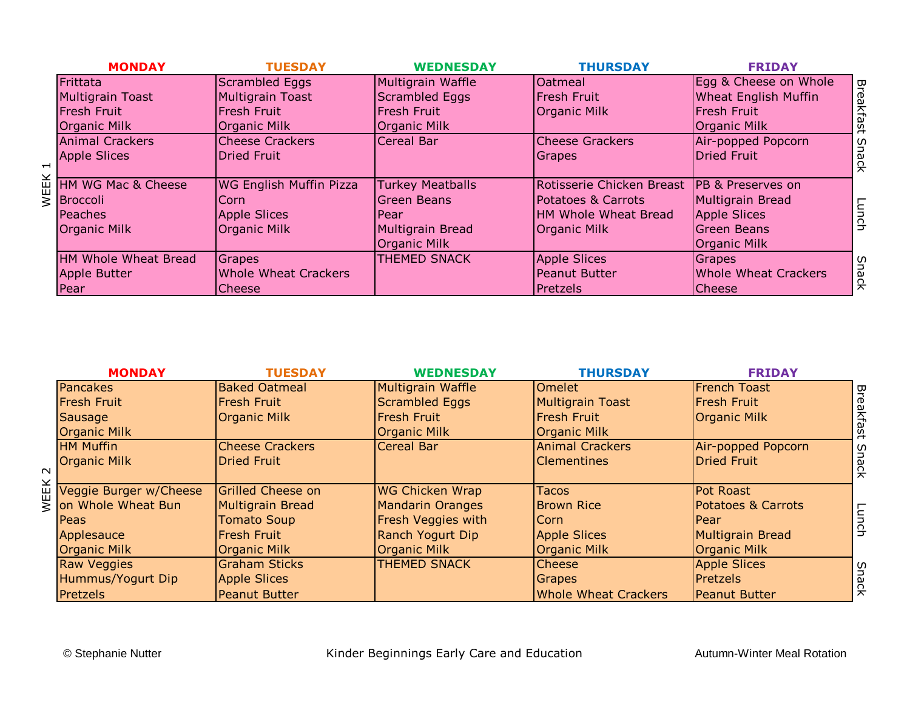|                                         | <b>MONDAY</b>            | <b>TUESDAY</b>          | <b>WEDNESDAY</b>        | <b>THURSDAY</b>                             | <b>FRIDAY</b>               |           |
|-----------------------------------------|--------------------------|-------------------------|-------------------------|---------------------------------------------|-----------------------------|-----------|
|                                         | Frittata                 | Scrambled Eggs          | Multigrain Waffle       | lOatmeal                                    | Egg & Cheese on Whole       |           |
|                                         | <b>Multigrain Toast</b>  | Multigrain Toast        | Scrambled Eggs          | <b>Fresh Fruit</b>                          | <b>Wheat English Muffin</b> |           |
|                                         | <b>IFresh Fruit</b>      | Fresh Fruit             | lFresh Fruit            | <b>Organic Milk</b>                         | Fresh Fruit                 |           |
|                                         | <b>Organic Milk</b>      | Organic Milk            | <b>Organic Milk</b>     |                                             | <b>Organic Milk</b>         | Breakfast |
|                                         | <b>Animal Crackers</b>   | <b>Cheese Crackers</b>  | Cereal Bar              | <b>Cheese Grackers</b>                      | Air-popped Popcorn          |           |
|                                         | <b>Apple Slices</b>      | Dried Fruit             |                         | Grapes                                      | Dried Fruit                 | Snack     |
| $\mathbf{\mathbf{\mathbf{\mathsf{H}}}}$ |                          |                         |                         |                                             |                             |           |
|                                         | WH<br>HM WG Mac & Cheese | WG English Muffin Pizza | <b>Turkey Meatballs</b> | Rotisserie Chicken Breast PB & Preserves on |                             |           |
|                                         |                          | Corn                    | Green Beans             | Potatoes & Carrots                          | Multigrain Bread            |           |
|                                         | lPeaches                 | <b>Apple Slices</b>     | <b>Pear</b>             | <b>IHM Whole Wheat Bread</b>                | Apple Slices                | Lunch     |
|                                         | <b>Organic Milk</b>      | <b>Organic Milk</b>     | Multigrain Bread        | <b>Organic Milk</b>                         | <b>IGreen Beans</b>         |           |
|                                         |                          |                         | <b>Organic Milk</b>     |                                             | <b>Organic Milk</b>         |           |
|                                         | HM Whole Wheat Bread     | Grapes                  | <b>THEMED SNACK</b>     | <b>Apple Slices</b>                         | Grapes                      |           |
|                                         | <b>Apple Butter</b>      | Whole Wheat Crackers    |                         | <b>Peanut Butter</b>                        | <b>Whole Wheat Crackers</b> | Snack     |
|                                         | Pear                     | lCheese                 |                         | <b>Pretzels</b>                             | <b>Cheese</b>               |           |

|        | <b>MONDAY</b>          | <b>TUESDAY</b>           | <b>WEDNESDAY</b>        | <b>THURSDAY</b>             | <b>FRIDAY</b>        |                  |
|--------|------------------------|--------------------------|-------------------------|-----------------------------|----------------------|------------------|
|        | Pancakes               | <b>Baked Oatmeal</b>     | Multigrain Waffle       | <b>Omelet</b>               | French Toast         | B                |
|        | <b>Fresh Fruit</b>     | Fresh Fruit              | <b>Scrambled Eggs</b>   | <b>Multigrain Toast</b>     | <b>Fresh Fruit</b>   |                  |
|        | Sausage                | <b>Organic Milk</b>      | <b>Fresh Fruit</b>      | Fresh Fruit                 | <b>Organic Milk</b>  | reakfast         |
|        | <b>Organic Milk</b>    |                          | <b>Organic Milk</b>     | <b>Organic Milk</b>         |                      |                  |
|        | <b>I</b> HM Muffin     | <b>Cheese Crackers</b>   | Cereal Bar              | <b>Animal Crackers</b>      | Air-popped Popcorn   |                  |
|        | <b>Organic Milk</b>    | <b>Dried Fruit</b>       |                         | <b>Clementines</b>          | Dried Fruit          | Snack            |
| $\sim$ |                        |                          |                         |                             |                      |                  |
| WEEK   | Veggie Burger w/Cheese | <b>Grilled Cheese on</b> | <b>WG Chicken Wrap</b>  | <b>Tacos</b>                | <b>Pot Roast</b>     |                  |
|        | on Whole Wheat Bun     | Multigrain Bread         | <b>Mandarin Oranges</b> | <b>Brown Rice</b>           | Potatoes & Carrots   |                  |
|        | <b>Peas</b>            | <b>Tomato Soup</b>       | Fresh Veggies with      | lCorn                       | <b>Pear</b>          | Lunch            |
|        | Applesauce             | <b>Fresh Fruit</b>       | Ranch Yogurt Dip        | <b>Apple Slices</b>         | Multigrain Bread     |                  |
|        | <b>Organic Milk</b>    | <b>Organic Milk</b>      | <b>Organic Milk</b>     | <b>Organic Milk</b>         | <b>Organic Milk</b>  |                  |
|        | <b>Raw Veggies</b>     | <b>Graham Sticks</b>     | <b>THEMED SNACK</b>     | <b>Cheese</b>               | <b>Apple Slices</b>  |                  |
|        | Hummus/Yogurt Dip      | <b>Apple Slices</b>      |                         | <b>Grapes</b>               | Pretzels             | Snacl            |
|        | <b>Pretzels</b>        | <b>Peanut Butter</b>     |                         | <b>Whole Wheat Crackers</b> | <b>Peanut Butter</b> | $\overline{\pi}$ |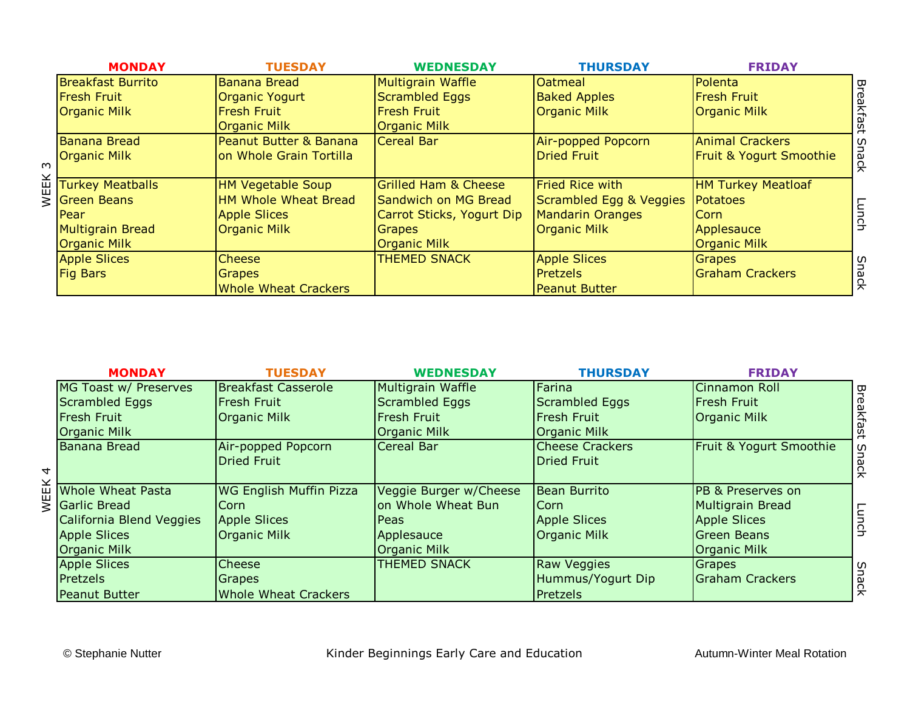|        | <b>MONDAY</b>            | <b>TUESDAY</b>              | <b>WEDNESDAY</b>                | <b>THURSDAY</b>         | <b>FRIDAY</b>           |           |
|--------|--------------------------|-----------------------------|---------------------------------|-------------------------|-------------------------|-----------|
|        | <b>Breakfast Burrito</b> | <b>Banana Bread</b>         | <b>Multigrain Waffle</b>        | <b>Oatmeal</b>          | Polenta                 |           |
|        | <b>Fresh Fruit</b>       | Organic Yogurt              | Scrambled Eggs                  | <b>Baked Apples</b>     | <b>Fresh Fruit</b>      |           |
|        | <b>Organic Milk</b>      | <b>Fresh Fruit</b>          | <b>Fresh Fruit</b>              | <b>Organic Milk</b>     | <b>Organic Milk</b>     |           |
|        |                          | <b>Organic Milk</b>         | <b>Organic Milk</b>             |                         |                         | Breakfast |
|        | <b>Banana Bread</b>      | Peanut Butter & Banana      | Cereal Bar                      | Air-popped Popcorn      | <b>Animal Crackers</b>  |           |
|        | <b>Organic Milk</b>      | on Whole Grain Tortilla     |                                 | <b>Dried Fruit</b>      | Fruit & Yogurt Smoothie | Snack     |
| $\sim$ |                          |                             |                                 |                         |                         |           |
| WEEK   | <b>Turkey Meatballs</b>  | <b>HM Vegetable Soup</b>    | <b>Grilled Ham &amp; Cheese</b> | Fried Rice with         | HM Turkey Meatloaf      |           |
|        | <b>Green Beans</b>       | <b>HM Whole Wheat Bread</b> | Sandwich on MG Bread            | Scrambled Egg & Veggies | Potatoes                |           |
|        | <b>Pear</b>              | <b>Apple Slices</b>         | Carrot Sticks, Yogurt Dip       | <b>Mandarin Oranges</b> | <b>Corn</b>             | Lunch     |
|        | <b>Multigrain Bread</b>  | <b>Organic Milk</b>         | <b>Grapes</b>                   | <b>Organic Milk</b>     | Applesauce              |           |
|        | <b>Organic Milk</b>      |                             | <b>Organic Milk</b>             |                         | <b>Organic Milk</b>     |           |
|        | <b>Apple Slices</b>      | <b>Cheese</b>               | <b>THEMED SNACK</b>             | <b>Apple Slices</b>     | <b>Grapes</b>           |           |
|        | <b>Fig Bars</b>          | <b>Grapes</b>               |                                 | <b>Pretzels</b>         | <b>Graham Crackers</b>  | Snack     |
|        |                          | <b>Whole Wheat Crackers</b> |                                 | <b>Peanut Butter</b>    |                         |           |

|                | Apple Silces<br><b>Fig Bars</b>                                                                                    | Cheese<br><b>Grapes</b><br><b>Whole Wheat Crackers</b>                        | THEMED SNACK                                                                              | <b>Apple SIICES</b><br><b>Pretzels</b><br><b>Peanut Butter</b>     | Grapes<br><b>Graham Crackers</b>                                                                                 | Snack            |
|----------------|--------------------------------------------------------------------------------------------------------------------|-------------------------------------------------------------------------------|-------------------------------------------------------------------------------------------|--------------------------------------------------------------------|------------------------------------------------------------------------------------------------------------------|------------------|
|                | <b>MONDAY</b>                                                                                                      | <b>TUESDAY</b>                                                                | <b>WEDNESDAY</b>                                                                          | <b>THURSDAY</b>                                                    | <b>FRIDAY</b>                                                                                                    |                  |
|                | MG Toast w/ Preserves<br><b>Scrambled Eggs</b><br>Fresh Fruit                                                      | <b>Breakfast Casserole</b><br><b>Fresh Fruit</b><br><b>Organic Milk</b>       | Multigrain Waffle<br>Scrambled Eggs<br>Fresh Fruit                                        | Farina<br>Scrambled Eggs<br>Fresh Fruit                            | <b>Cinnamon Roll</b><br><b>Fresh Fruit</b><br><b>Organic Milk</b>                                                | <b>Breakfast</b> |
|                | <b>Organic Milk</b><br>Banana Bread                                                                                | Air-popped Popcorn                                                            | <b>Organic Milk</b><br>Cereal Bar                                                         | <b>Organic Milk</b><br><b>Cheese Crackers</b>                      | Fruit & Yogurt Smoothie                                                                                          |                  |
| $\overline{4}$ |                                                                                                                    | <b>Dried Fruit</b>                                                            |                                                                                           | <b>Dried Fruit</b>                                                 |                                                                                                                  | Snack            |
| WEEK           | <b>Whole Wheat Pasta</b><br>Garlic Bread<br>California Blend Veggies<br><b>Apple Slices</b><br><b>Organic Milk</b> | WG English Muffin Pizza<br>Corn<br><b>Apple Slices</b><br><b>Organic Milk</b> | Veggie Burger w/Cheese<br>on Whole Wheat Bun<br>Peas<br>Applesauce<br><b>Organic Milk</b> | Bean Burrito<br>Corn<br><b>Apple Slices</b><br><b>Organic Milk</b> | PB & Preserves on<br><b>Multigrain Bread</b><br><b>Apple Slices</b><br><b>Green Beans</b><br><b>Organic Milk</b> | Lunch            |
|                | <b>Apple Slices</b><br><b>Pretzels</b><br>Peanut Butter                                                            | Cheese<br><b>Grapes</b><br><b>Whole Wheat Crackers</b>                        | <b>THEMED SNACK</b>                                                                       | Raw Veggies<br>Hummus/Yogurt Dip<br>Pretzels                       | Grapes<br><b>Graham Crackers</b>                                                                                 | Snack            |